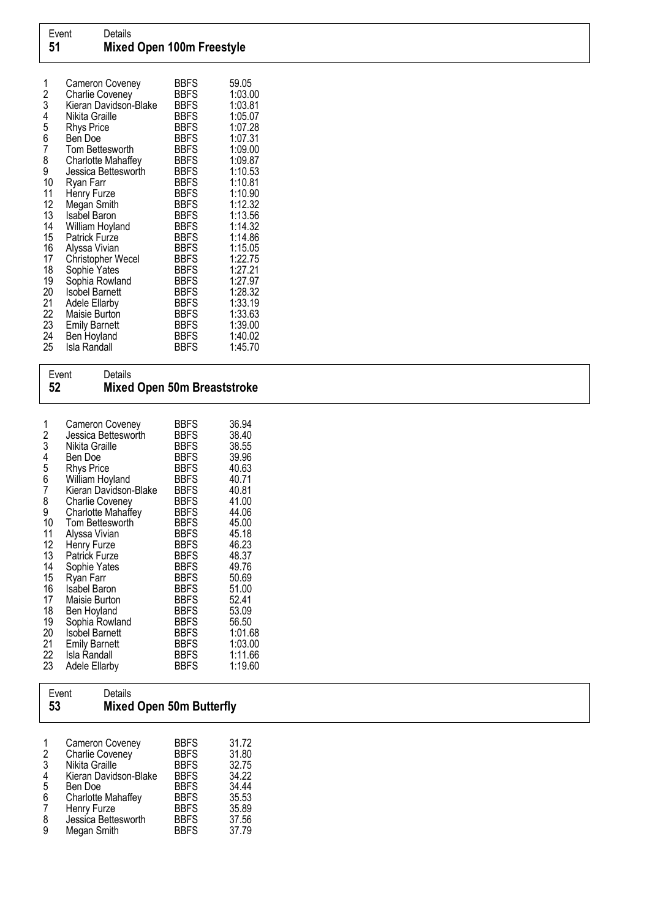| 1<br>$\overline{c}$<br>3<br>4 | Cameron Coveney<br><b>Charlie Coveney</b><br>Kieran Davidson-Blake<br>Nikita Graille | BBFS<br><b>BBFS</b><br>BBFS<br><b>BBFS</b> | 59.05<br>1:03.00<br>1:03.81<br>1:05.07 |
|-------------------------------|--------------------------------------------------------------------------------------|--------------------------------------------|----------------------------------------|
| 5                             | <b>Rhys Price</b>                                                                    | BBFS                                       | 1:07.28                                |
| 6                             | Ben Doe                                                                              | BBFS                                       | 1:07.31                                |
| 7                             | Tom Bettesworth                                                                      | BBFS                                       | 1:09.00                                |
| 8                             | Charlotte Mahaffey                                                                   | <b>BBFS</b>                                | 1:09.87                                |
| 9                             | Jessica Bettesworth                                                                  | <b>BBFS</b>                                | 1:10.53                                |
| 10                            | Ryan Farr                                                                            | BBFS                                       | 1:10.81                                |
| 11                            | Henry Furze                                                                          | BBFS                                       | 1:10.90                                |
| 12                            | Megan Smith                                                                          | <b>BBFS</b>                                | 1:12.32                                |
| 13<br>14                      | <b>Isabel Baron</b>                                                                  | BBFS<br><b>BBFS</b>                        | 1:13.56<br>1:14.32                     |
| 15                            | William Hoyland<br>Patrick Furze                                                     | <b>BBFS</b>                                | 1:14.86                                |
| 16                            | Alyssa Vivian                                                                        | BBFS                                       | 1:15.05                                |
| 17                            | Christopher Wecel                                                                    | <b>BBFS</b>                                | 1:22.75                                |
| 18                            | Sophie Yates                                                                         | BBFS                                       | 1:27.21                                |
| 19                            | Sophia Rowland                                                                       | <b>BBFS</b>                                | 1:27.97                                |
| 20                            | Isobel Barnett                                                                       | <b>BBFS</b>                                | 1:28.32                                |
| 21                            | <b>Adele Ellarby</b>                                                                 | BBFS                                       | 1:33.19                                |
| 22                            | Maisie Burton                                                                        | BBFS                                       | 1:33.63                                |
| 23                            | <b>Emily Barnett</b>                                                                 | BBFS                                       | 1:39.00                                |
| 24                            | Ben Hoyland                                                                          | <b>BBFS</b>                                | 1:40.02                                |
| 25                            | <b>Isla Randall</b>                                                                  | <b>BBFS</b>                                | 1:45.70                                |

| 52                                                                                      | Event<br>Details<br>Mixed Open 50m Breaststroke                                                                                                                                                                                                                                                                                                                                  |                                                                                                                                                                                                        |                                                                                                                                                                                    |
|-----------------------------------------------------------------------------------------|----------------------------------------------------------------------------------------------------------------------------------------------------------------------------------------------------------------------------------------------------------------------------------------------------------------------------------------------------------------------------------|--------------------------------------------------------------------------------------------------------------------------------------------------------------------------------------------------------|------------------------------------------------------------------------------------------------------------------------------------------------------------------------------------|
| 1<br>234567<br>8<br>9<br>10<br>11<br>12<br>13<br>14<br>15<br>16<br>17<br>18<br>19<br>20 | Cameron Coveney<br>Jessica Bettesworth<br>Nikita Graille<br>Ben Doe<br><b>Rhys Price</b><br>William Hoyland<br>Kieran Davidson-Blake<br><b>Charlie Coveney</b><br>Charlotte Mahaffey<br>Tom Bettesworth<br>Alyssa Vivian<br>Henry Furze<br>Patrick Furze<br>Sophie Yates<br>Ryan Farr<br><b>Isabel Baron</b><br>Maisie Burton<br>Ben Hoyland<br>Sophia Rowland<br>Isobel Barnett | BBFS<br><b>BBFS</b><br><b>BBFS</b><br>BBFS<br>BBFS<br>BBFS<br>BBFS<br><b>BBFS</b><br>BBFS<br>BBFS<br>BBFS<br>BBFS<br><b>BBFS</b><br>BBFS<br>BBFS<br>BBFS<br>BBFS<br><b>BBFS</b><br>BBFS<br><b>BBFS</b> | 36.94<br>38.40<br>38.55<br>39.96<br>40.63<br>40.71<br>40.81<br>41.00<br>44.06<br>45.00<br>45.18<br>46.23<br>48.37<br>49.76<br>50.69<br>51.00<br>52.41<br>53.09<br>56.50<br>1:01.68 |

| Event<br><b>Details</b><br><b>Mixed Open 50m Butterfly</b><br>53 |
|------------------------------------------------------------------|
|------------------------------------------------------------------|

21 Emily Barnett BBFS 1:03.00 22 Isla Randall BBFS 1:11.66 23 Adele Ellarby BBFS 1:19.60

| 1 | Cameron Coveney           | <b>BBFS</b> | 31.72 |
|---|---------------------------|-------------|-------|
| 2 | <b>Charlie Coveney</b>    | <b>BBFS</b> | 31.80 |
| 3 | Nikita Graille            | <b>BBFS</b> | 32.75 |
| 4 | Kieran Davidson-Blake     | <b>BBFS</b> | 34.22 |
| 5 | Ben Doe                   | <b>BBFS</b> | 34.44 |
| 6 | <b>Charlotte Mahaffey</b> | <b>BBFS</b> | 35.53 |
| 7 | Henry Furze               | <b>BBFS</b> | 35.89 |
| 8 | Jessica Bettesworth       | <b>BBFS</b> | 37.56 |
| 9 | Megan Smith               | <b>BBFS</b> | 37.79 |